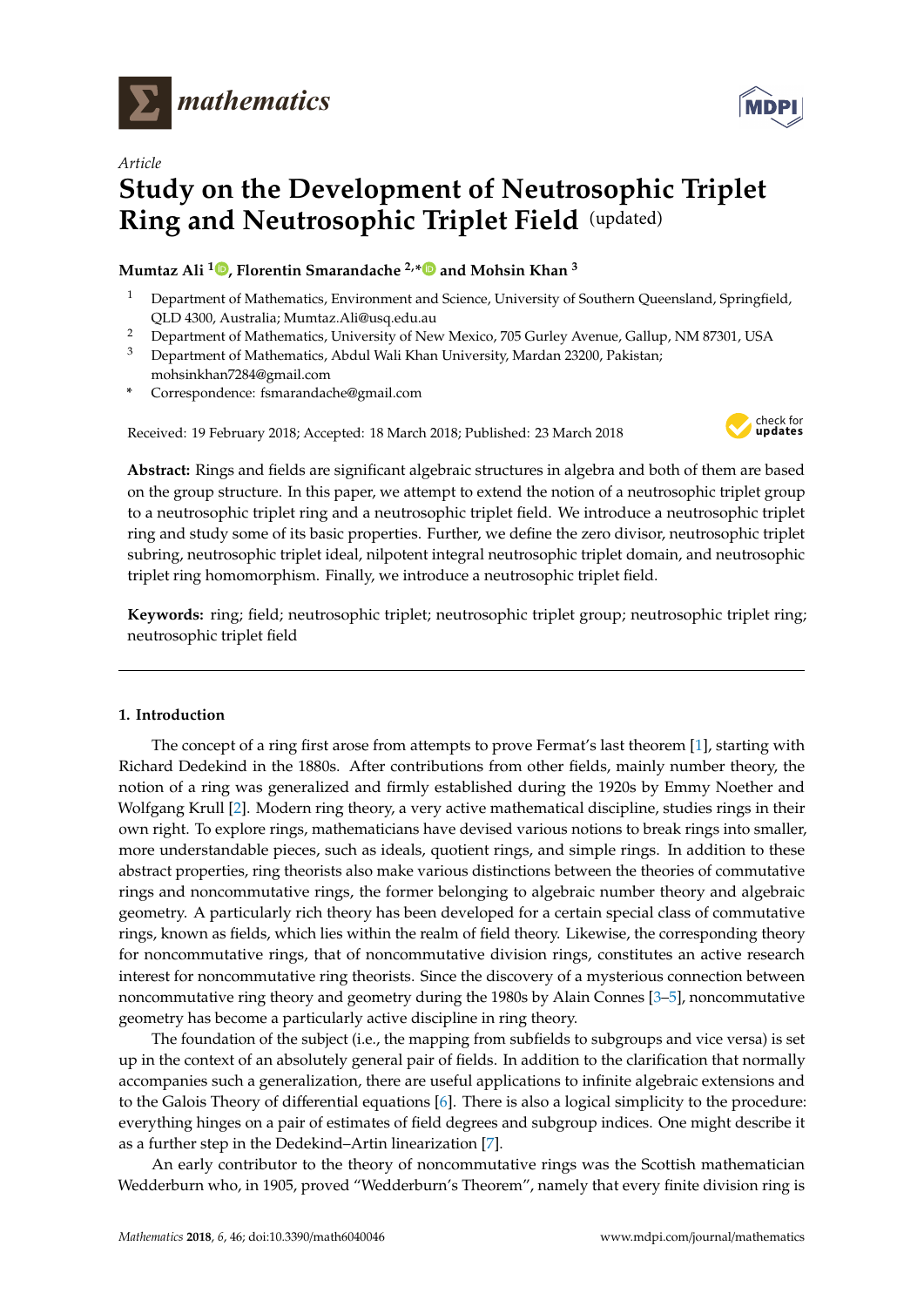

*Article*

# **Study on the Development of Neutrosophic Triplet Ring and Neutrosophic Triplet Field** (updated)

## **Mumtaz Ali [1](https://orcid.org/0000-0002-6975-5159) , Florentin Smarandache 2,[\\*](https://orcid.org/0000-0002-5560-5926) and Mohsin Khan <sup>3</sup>**

- <sup>1</sup> Department of Mathematics, Environment and Science, University of Southern Queensland, Springfield, QLD 4300, Australia; Mumtaz.Ali@usq.edu.au
- <sup>2</sup> Department of Mathematics, University of New Mexico, 705 Gurley Avenue, Gallup, NM 87301, USA
- <sup>3</sup> Department of Mathematics, Abdul Wali Khan University, Mardan 23200, Pakistan; mohsinkhan7284@gmail.com
- **\*** Correspondence: fsmarandache@gmail.com

Received: 19 February 2018; Accepted: 18 March 2018; Published: 23 March 2018



**Abstract:** Rings and fields are significant algebraic structures in algebra and both of them are based on the group structure. In this paper, we attempt to extend the notion of a neutrosophic triplet group to a neutrosophic triplet ring and a neutrosophic triplet field. We introduce a neutrosophic triplet ring and study some of its basic properties. Further, we define the zero divisor, neutrosophic triplet subring, neutrosophic triplet ideal, nilpotent integral neutrosophic triplet domain, and neutrosophic triplet ring homomorphism. Finally, we introduce a neutrosophic triplet field.

**Keywords:** ring; field; neutrosophic triplet; neutrosophic triplet group; neutrosophic triplet ring; neutrosophic triplet field

### <span id="page-0-0"></span>**1. Introduction**

The concept of a ring first arose from attempts to prove Fermat's last theorem [\[1\]](#page-9-0), starting with Richard Dedekind in the 1880s. After contributions from other fields, mainly number theory, the notion of a ring was generalized and firmly established during the 1920s by Emmy Noether and Wolfgang Krull [\[2\]](#page-9-1). Modern ring theory, a very active mathematical discipline, studies rings in their own right. To explore rings, mathematicians have devised various notions to break rings into smaller, more understandable pieces, such as ideals, quotient rings, and simple rings. In addition to these abstract properties, ring theorists also make various distinctions between the theories of commutative rings and noncommutative rings, the former belonging to algebraic number theory and algebraic geometry. A particularly rich theory has been developed for a certain special class of commutative rings, known as fields, which lies within the realm of field theory. Likewise, the corresponding theory for noncommutative rings, that of noncommutative division rings, constitutes an active research interest for noncommutative ring theorists. Since the discovery of a mysterious connection between noncommutative ring theory and geometry during the 1980s by Alain Connes [\[3](#page-9-2)[–5\]](#page-9-3), noncommutative geometry has become a particularly active discipline in ring theory.

The foundation of the subject (i.e., the mapping from subfields to subgroups and vice versa) is set up in the context of an absolutely general pair of fields. In addition to the clarification that normally accompanies such a generalization, there are useful applications to infinite algebraic extensions and to the Galois Theory of differential equations [\[6\]](#page-10-0). There is also a logical simplicity to the procedure: everything hinges on a pair of estimates of field degrees and subgroup indices. One might describe it as a further step in the Dedekind–Artin linearization [\[7\]](#page-10-1).

An early contributor to the theory of noncommutative rings was the Scottish mathematician Wedderburn who, in 1905, proved "Wedderburn's Theorem", namely that every finite division ring is

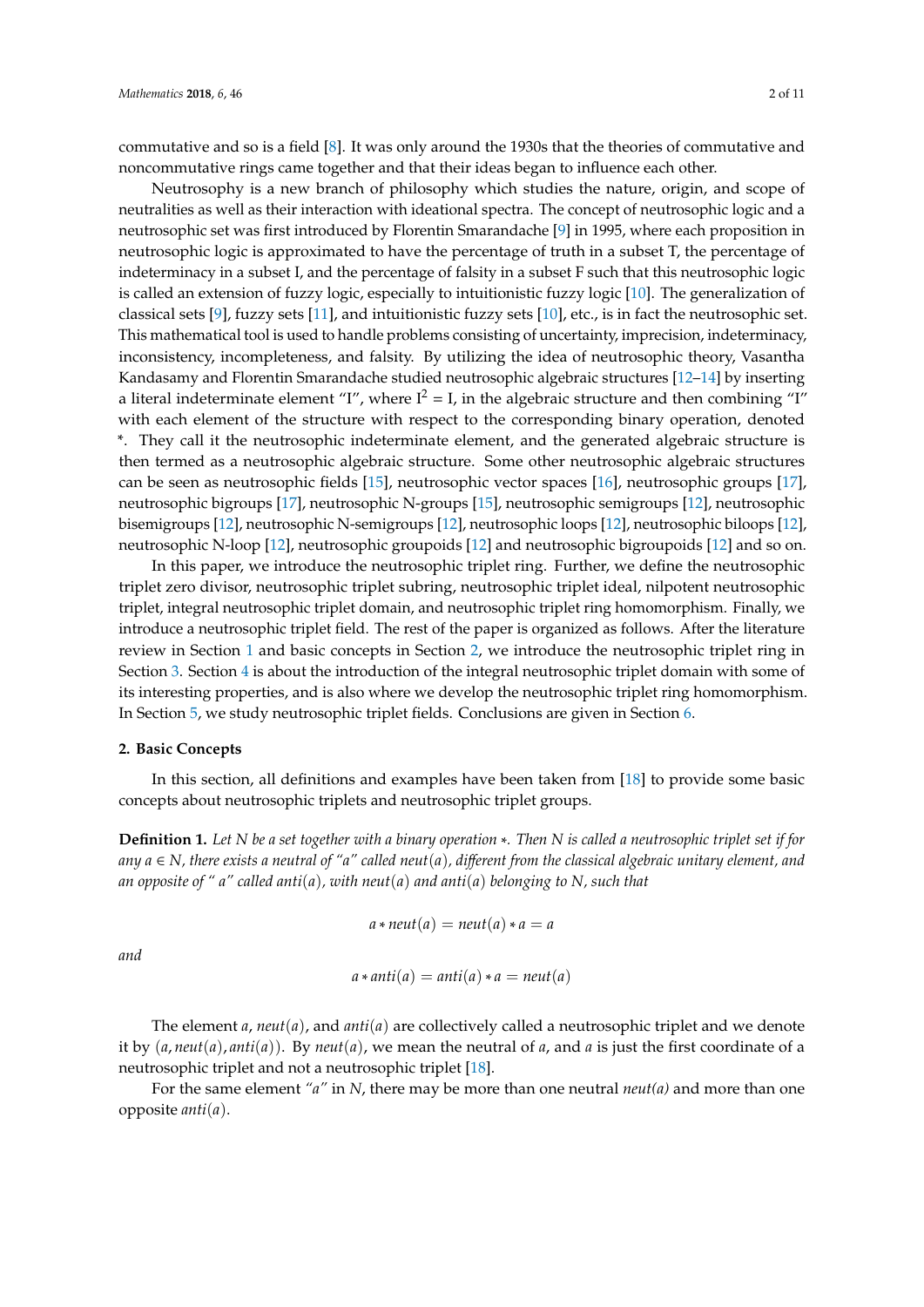commutative and so is a field [\[8\]](#page-10-2). It was only around the 1930s that the theories of commutative and noncommutative rings came together and that their ideas began to influence each other.

Neutrosophy is a new branch of philosophy which studies the nature, origin, and scope of neutralities as well as their interaction with ideational spectra. The concept of neutrosophic logic and a neutrosophic set was first introduced by Florentin Smarandache [\[9\]](#page-10-3) in 1995, where each proposition in neutrosophic logic is approximated to have the percentage of truth in a subset T, the percentage of indeterminacy in a subset I, and the percentage of falsity in a subset F such that this neutrosophic logic is called an extension of fuzzy logic, especially to intuitionistic fuzzy logic [\[10\]](#page-10-4). The generalization of classical sets [\[9\]](#page-10-3), fuzzy sets [\[11\]](#page-10-5), and intuitionistic fuzzy sets [\[10\]](#page-10-4), etc., is in fact the neutrosophic set. This mathematical tool is used to handle problems consisting of uncertainty, imprecision, indeterminacy, inconsistency, incompleteness, and falsity. By utilizing the idea of neutrosophic theory, Vasantha Kandasamy and Florentin Smarandache studied neutrosophic algebraic structures [\[12](#page-10-6)[–14\]](#page-10-7) by inserting a literal indeterminate element "I", where  $I^2 = I$ , in the algebraic structure and then combining "I" with each element of the structure with respect to the corresponding binary operation, denoted \*. They call it the neutrosophic indeterminate element, and the generated algebraic structure is then termed as a neutrosophic algebraic structure. Some other neutrosophic algebraic structures can be seen as neutrosophic fields [\[15\]](#page-10-8), neutrosophic vector spaces [\[16\]](#page-10-9), neutrosophic groups [\[17\]](#page-10-10), neutrosophic bigroups [\[17\]](#page-10-10), neutrosophic N-groups [\[15\]](#page-10-8), neutrosophic semigroups [\[12\]](#page-10-6), neutrosophic bisemigroups [\[12\]](#page-10-6), neutrosophic N-semigroups [\[12\]](#page-10-6), neutrosophic loops [\[12\]](#page-10-6), neutrosophic biloops [\[12\]](#page-10-6), neutrosophic N-loop [\[12\]](#page-10-6), neutrosophic groupoids [\[12\]](#page-10-6) and neutrosophic bigroupoids [\[12\]](#page-10-6) and so on.

In this paper, we introduce the neutrosophic triplet ring. Further, we define the neutrosophic triplet zero divisor, neutrosophic triplet subring, neutrosophic triplet ideal, nilpotent neutrosophic triplet, integral neutrosophic triplet domain, and neutrosophic triplet ring homomorphism. Finally, we introduce a neutrosophic triplet field. The rest of the paper is organized as follows. After the literature review in Section [1](#page-0-0) and basic concepts in Section [2,](#page-1-0) we introduce the neutrosophic triplet ring in Section [3.](#page-3-0) Section [4](#page-7-0) is about the introduction of the integral neutrosophic triplet domain with some of its interesting properties, and is also where we develop the neutrosophic triplet ring homomorphism. In Section [5,](#page-7-1) we study neutrosophic triplet fields. Conclusions are given in Section [6.](#page-9-4)

#### <span id="page-1-0"></span>**2. Basic Concepts**

In this section, all definitions and examples have been taken from [\[18\]](#page-10-11) to provide some basic concepts about neutrosophic triplets and neutrosophic triplet groups.

**Definition 1.** *Let N be a set together with a binary operation* ∗*. Then N is called a neutrosophic triplet set if for* any  $a \in N$ , there exists a neutral of "a" called neut(a), different from the classical algebraic unitary element, and *an opposite of " a" called anti*(*a*)*, with neut*(*a*) *and anti*(*a*) *belonging to N, such that*

$$
a * neut(a) = neut(a) * a = a
$$

*and*

$$
a * anti(a) = anti(a) * a = neut(a)
$$

The element *a*, *neut*(*a*), and *anti*(*a*) are collectively called a neutrosophic triplet and we denote it by  $(a, neut(a),anti(a))$ . By *neut* $(a)$ , we mean the neutral of *a*, and *a* is just the first coordinate of a neutrosophic triplet and not a neutrosophic triplet [\[18\]](#page-10-11).

For the same element *"a"* in *N*, there may be more than one neutral *neut(a)* and more than one opposite *anti*(*a*).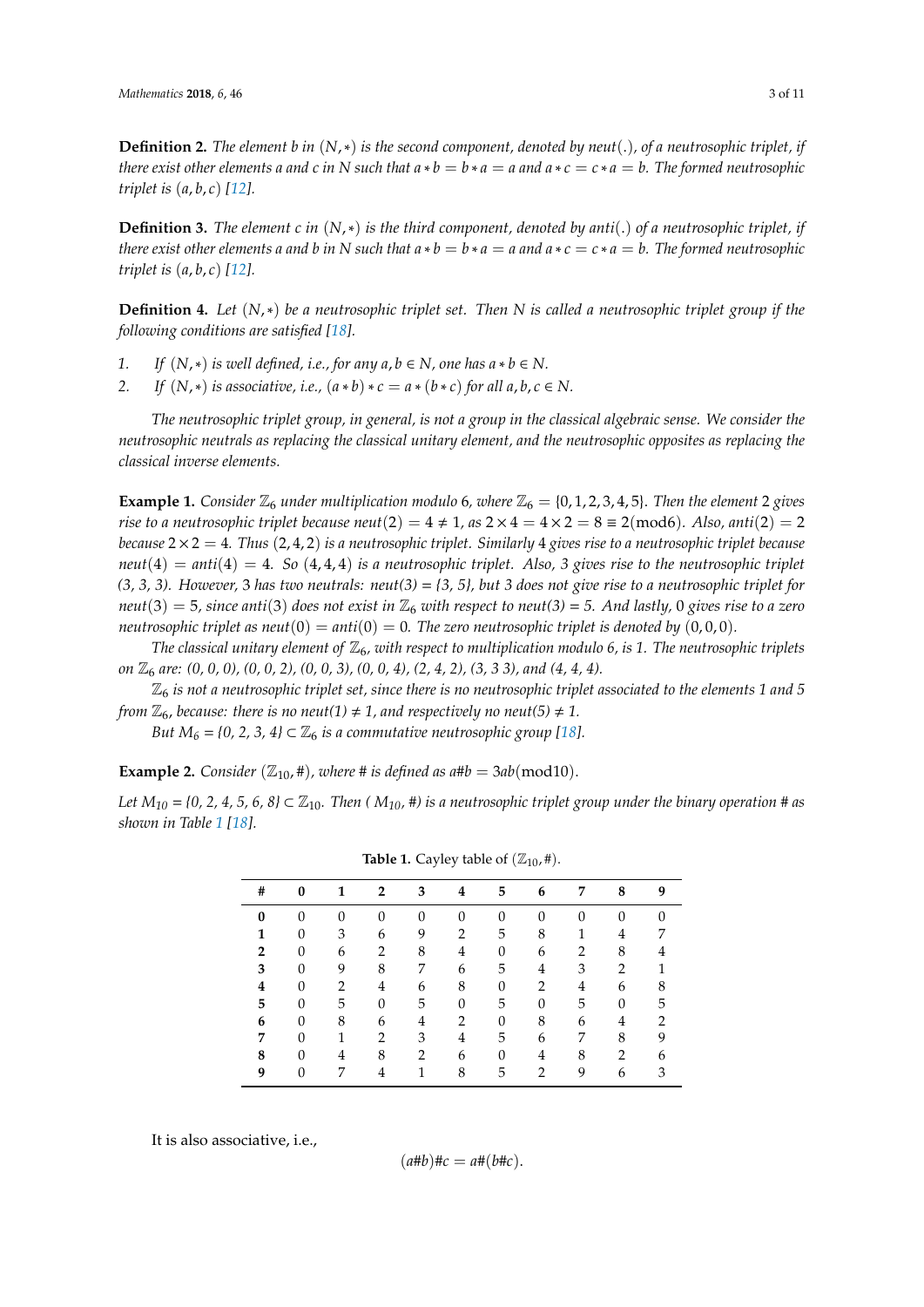**Definition 2.** *The element b in* (*N*,∗) *is the second component, denoted by neut*(.)*, of a neutrosophic triplet, if* there exist other elements a and c in N such that  $a * b = b * a = a$  and  $a * c = c * a = b$ . The formed neutrosophic *triplet is* (*a*, *b*, *c*) *[\[12\]](#page-10-6).*

**Definition 3.** *The element c in*  $(N,*)$  *is the third component, denoted by anti*(.) *of a neutrosophic triplet, if* there exist other elements a and b in N such that  $a * b = b * a = a$  and  $a * c = c * a = b$ . The formed neutrosophic *triplet is* (*a*, *b*, *c*) *[\[12\]](#page-10-6).*

**Definition 4.** *Let* (*N*,∗) *be a neutrosophic triplet set. Then N is called a neutrosophic triplet group if the following conditions are satisfied [\[18\]](#page-10-11).*

- *1. If*  $(N,*)$  *is well defined, i.e., for any a, b* ∈ *N, one has a* ∗ *b* ∈ *N*.
- *2. If*  $(N, *)$  *is associative, i.e.,*  $(a * b) * c = a * (b * c)$  *for all a, b, c*  $\in N$ .

*The neutrosophic triplet group, in general, is not a group in the classical algebraic sense. We consider the neutrosophic neutrals as replacing the classical unitary element, and the neutrosophic opposites as replacing the classical inverse elements.*

**Example 1.** *Consider*  $\mathbb{Z}_6$  *under multiplication modulo* 6*, where*  $\mathbb{Z}_6 = \{0, 1, 2, 3, 4, 5\}$ . *Then the element* 2 *gives rise to a neutrosophic triplet because neut*(2) =  $4 \neq 1$ , *as*  $2 \times 4 = 4 \times 2 = 8 \equiv 2 \pmod{6}$ *. Also, anti*(2) = 2 *because* 2 × 2 = 4*. Thus* (2, 4, 2) *is a neutrosophic triplet. Similarly* 4 *gives rise to a neutrosophic triplet because*  $neut(4) = anti(4) = 4$ *. So*  $(4, 4, 4)$  *is a neutrosophic triplet. Also, 3 gives rise to the neutrosophic triplet (3, 3, 3). However,* 3 *has two neutrals: neut(3)* = *{3, 5}, but 3 does not give rise to a neutrosophic triplet for*  $neut(3) = 5$ , since anti(3) does not exist in  $\mathbb{Z}_6$  with respect to neut(3) = 5. And lastly, 0 gives rise to a zero *neutrosophic triplet as neut* $(0) = anti(0) = 0$ *. The zero neutrosophic triplet is denoted by*  $(0,0,0)$ *.* 

*The classical unitary element of*  $\mathbb{Z}_6$ *, with respect to multiplication modulo 6, is 1. The neutrosophic triplets on*  $\mathbb{Z}_6$  *are:*  $(0, 0, 0)$ ,  $(0, 0, 2)$ ,  $(0, 0, 3)$ ,  $(0, 0, 4)$ ,  $(2, 4, 2)$ ,  $(3, 3, 3)$ , and  $(4, 4, 4)$ .

 $\mathbb{Z}_6$  *is not a neutrosophic triplet set, since there is no neutrosophic triplet associated to the elements 1 and 5 from*  $\mathbb{Z}_6$ *, because: there is no neut*(1)  $\neq$  1*, and respectively no neut*(5)  $\neq$  1*.* 

*But*  $M_6 = \{0, 2, 3, 4\} \subset \mathbb{Z}_6$  *is a commutative neutrosophic group* [\[18\]](#page-10-11)*.* 

**Example 2.** *Consider* ( $\mathbb{Z}_{10}$ , #), *where* # *is defined as a*# $b = 3ab \pmod{10}$ .

<span id="page-2-0"></span>*Let*  $M_{10}$  = {0, 2, 4, 5, 6, 8}  $\subset \mathbb{Z}_{10}$ . Then ( $M_{10}$ , #) is a neutrosophic triplet group under the binary operation # as *shown in Table [1](#page-2-0) [\[18\]](#page-10-11).*

| #            | $\bf{0}$     |                | 2              | 3        | 4                | 5        | 6              | 7              | 8              | 9              |
|--------------|--------------|----------------|----------------|----------|------------------|----------|----------------|----------------|----------------|----------------|
| $\bf{0}$     | $\Omega$     | $\Omega$       | $\Omega$       | $\theta$ | $\theta$         | $\Omega$ | $\Omega$       |                | $\Omega$       |                |
| 1            | $\theta$     | 3              | 6              | 9        | $\overline{2}$   | 5        | 8              | 1              | 4              | 7              |
| $\mathbf{2}$ | $\mathbf{0}$ | 6              | 2              | 8        | $\overline{4}$   | 0        | 6              | $\overline{2}$ | 8              | 4              |
| 3            | $\mathbf{0}$ | 9              | 8              | 7        | 6                | 5        | $\overline{4}$ | 3              | $\overline{2}$ | 1              |
| 4            | $\theta$     | 2              | $\overline{4}$ | 6        | 8                | $\theta$ | $\overline{2}$ | 4              | 6              | 8              |
| 5            | $\theta$     | 5              | $\overline{0}$ | 5        | $\boldsymbol{0}$ | 5        | $\mathbf{0}$   | 5              | $\overline{0}$ | 5              |
| 6            | $\theta$     | 8              | 6              | 4        | $\overline{2}$   | $\theta$ | 8              | 6              | 4              | $\overline{2}$ |
|              | $\theta$     | $\mathbf{1}$   | 2              | 3        | 4                | 5        | 6              | 7              | 8              | 9              |
| 8            | $\theta$     | $\overline{4}$ | 8              | 2        | 6                | $\theta$ | $\overline{4}$ | 8              | $\overline{2}$ | 6              |
| 9            | 0            | 7              | 4              | 1        | 8                | 5        | $\overline{2}$ | 9              | 6              | 3              |

**Table 1.** Cayley table of  $(\mathbb{Z}_{10}, \#)$ .

It is also associative, i.e.,

$$
(a\#b)\#c = a\#(b\#c).
$$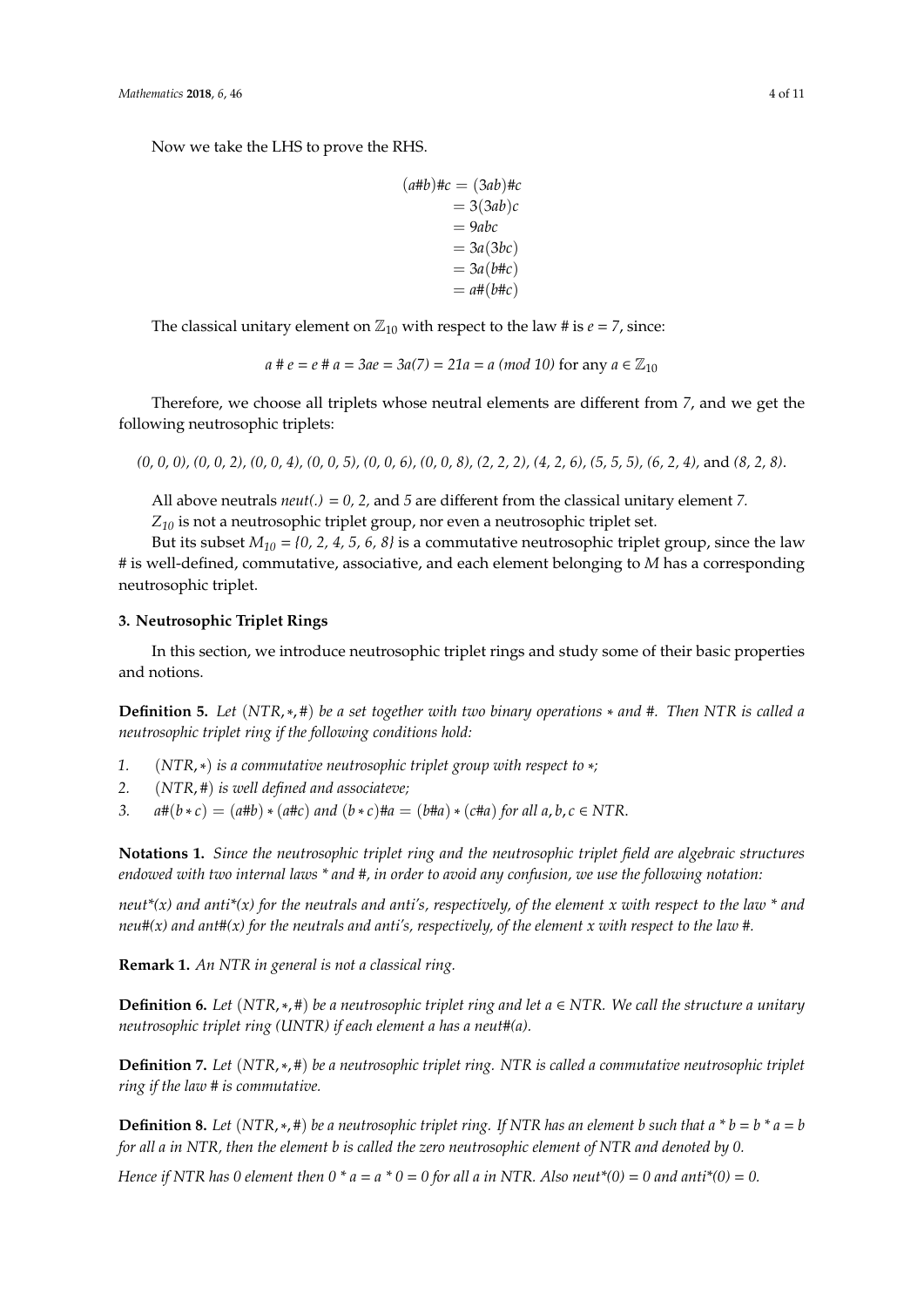Now we take the LHS to prove the RHS.

```
(a#b)#c = (3ab)#c= 3(3ab)c= 9abc
= 3a(3bc)= 3a(b \# c)= a \# (b \# c)
```
The classical unitary element on  $\mathbb{Z}_{10}$  with respect to the law # is  $e = 7$ , since:

$$
a \# e = e \# a = 3ae = 3a(7) = 21a = a \pmod{10}
$$
 for any  $a \in \mathbb{Z}_{10}$ 

Therefore, we choose all triplets whose neutral elements are different from *7*, and we get the following neutrosophic triplets:

*(0, 0, 0), (0, 0, 2), (0, 0, 4), (0, 0, 5), (0, 0, 6), (0, 0, 8), (2, 2, 2), (4, 2, 6), (5, 5, 5), (6, 2, 4),* and *(8, 2, 8)*.

All above neutrals *neut(.)* = *0, 2,* and *5* are different from the classical unitary element *7.*

*Z<sup>10</sup>* is not a neutrosophic triplet group, nor even a neutrosophic triplet set.

But its subset  $M_{10} = \{0, 2, 4, 5, 6, 8\}$  is a commutative neutrosophic triplet group, since the law # is well-defined, commutative, associative, and each element belonging to *M* has a corresponding neutrosophic triplet.

#### <span id="page-3-0"></span>**3. Neutrosophic Triplet Rings**

In this section, we introduce neutrosophic triplet rings and study some of their basic properties and notions.

**Definition 5.** *Let* (*NTR*,∗, #) *be a set together with two binary operations* ∗ *and* #*. Then NTR is called a neutrosophic triplet ring if the following conditions hold:*

- *1.* (*NTR*,∗) *is a commutative neutrosophic triplet group with respect to* ∗*;*
- *2.* (*NTR*, #) *is well defined and associateve;*
- *3.*  $a \# (b * c) = (a \# b) * (a \# c)$  *and*  $(b * c) \# a = (b \# a) * (c \# a)$  *for all a, b, c*  $\in NTR$ .

**Notations 1.** *Since the neutrosophic triplet ring and the neutrosophic triplet field are algebraic structures endowed with two internal laws \* and #, in order to avoid any confusion, we use the following notation:*

*neut\*(x) and anti\*(x) for the neutrals and anti's, respectively, of the element x with respect to the law \* and neu#(x) and ant#(x) for the neutrals and anti's, respectively, of the element x with respect to the law #.*

**Remark 1.** *An NTR in general is not a classical ring.*

**Definition 6.** *Let* (*NTR*,∗, #) *be a neutrosophic triplet ring and let a* ∈ *NTR. We call the structure a unitary neutrosophic triplet ring (UNTR) if each element a has a neut#(a).*

**Definition 7.** *Let* (*NTR*,∗, #) *be a neutrosophic triplet ring. NTR is called a commutative neutrosophic triplet ring if the law # is commutative.*

**Definition 8.** *Let* (*NTR*, \*, #) *be a neutrosophic triplet ring. If NTR has an element b such that a*  $*$  *b* = *b*  $*$  *a* = *b for all a in NTR, then the element b is called the zero neutrosophic element of NTR and denoted by 0.*

*Hence if NTR has 0 element then 0 \* a = a \* 0 = 0 for all a in NTR. Also neut\*(0) = 0 and anti\*(0) = 0.*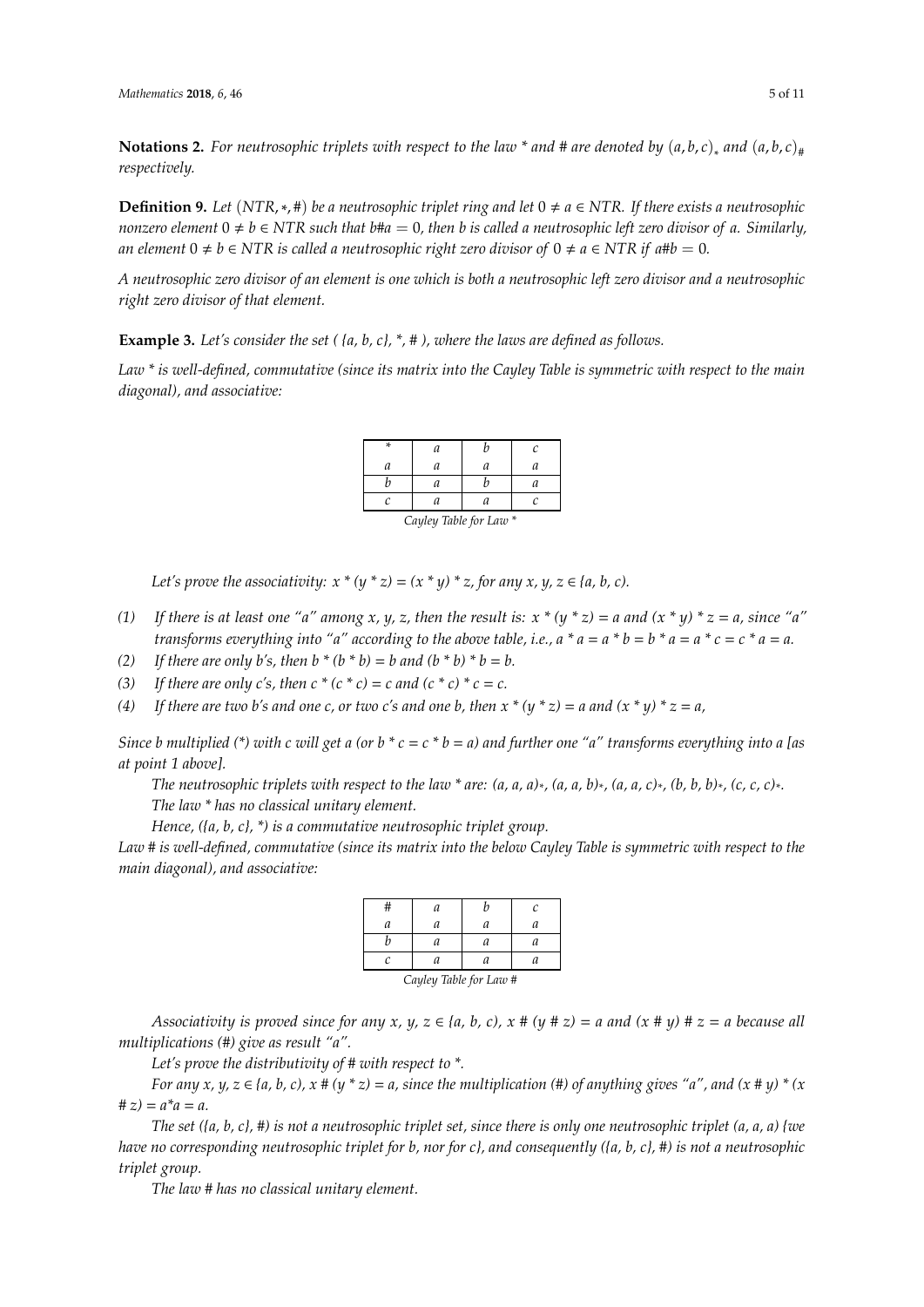**Notations 2.** For neutrosophic triplets with respect to the law \* and # are denoted by  $(a, b, c)$ <sub>∗</sub> and  $(a, b, c)$ <sub>#</sub> *respectively.*

**Definition 9.** Let (NTR, $*,\#$ ) be a neutrosophic triplet ring and let  $0 \neq a \in NTR$ . If there exists a neutrosophic *nonzero element*  $0 \neq b \in NTR$  *such that*  $b \# a = 0$ , *then b is called a neutrosophic left zero divisor of a. Similarly, an element*  $0 \neq b \in NTR$  *is called a neutrosophic right zero divisor of*  $0 \neq a \in NTR$  *if a*#*b* = 0*.* 

*A neutrosophic zero divisor of an element is one which is both a neutrosophic left zero divisor and a neutrosophic right zero divisor of that element.*

**Example 3.** *Let's consider the set ( {a, b, c}, \*, # ), where the laws are defined as follows.*

*Law \* is well-defined, commutative (since its matrix into the Cayley Table is symmetric with respect to the main diagonal), and associative:*

| ×                      | a |  |  |  |  |
|------------------------|---|--|--|--|--|
| а                      | а |  |  |  |  |
|                        |   |  |  |  |  |
|                        |   |  |  |  |  |
| Cayley Table for Law * |   |  |  |  |  |

*Let's prove the associativity:*  $x * (y * z) = (x * y) * z$ , for any  $x, y, z \in \{a, b, c\}$ .

- *(1) If there is at least one "a" among x, y, z, then the result is: x \* (y \* z)* = *a and (x \* y) \* z* = *a, since "a" transforms everything into "a" according to the above table, i.e.,*  $a * a = a * b = b * a = a * c = c * a = a$ *.*
- *(2)* If there are only b's, then  $b * (b * b) = b$  and  $(b * b) * b = b$ .
- *(3)* If there are only c's, then  $c * (c * c) = c$  and  $(c * c) * c = c$ .
- (4) If there are two b's and one c, or two c's and one b, then  $x * (y * z) = a$  and  $(x * y) * z = a$ ,

*Since b multiplied (\*) with c will get a (or b \* c* = *c \* b* = *a) and further one "a" transforms everything into a [as at point 1 above].*

*The neutrosophic triplets with respect to the law \* are: (a, a, a)\* , (a, a, b)\* , (a, a, c)\* , (b, b, b)\* , (c, c, c)\* . The law \* has no classical unitary element.*

*Hence, ({a, b, c}, \*) is a commutative neutrosophic triplet group.*

*Law # is well-defined, commutative (since its matrix into the below Cayley Table is symmetric with respect to the main diagonal), and associative:*

|                        | а |   | C |  |  |
|------------------------|---|---|---|--|--|
| a                      | а | a |   |  |  |
|                        | а | а |   |  |  |
| r                      | а | а |   |  |  |
| Cayley Table for Law # |   |   |   |  |  |

*Associativity is proved since for any x, y, z*  $\in$  {*a, b, c), x* # (*y* # *z*) = *a and* (*x* # *y*) # *z* = *a because all multiplications (#) give as result "a".*

*Let's prove the distributivity of # with respect to \*.*

*For any x, y, z*  $\in$  {*a, b, c), x*  $\# (y * z) = a$ *, since the multiplication* ( $\#$ ) of anything gives "*a*", and (*x*  $\# y$ ) \* (*x*)  $# z$ ) =  $a^* a = a$ .

*The set ({a, b, c}, #) is not a neutrosophic triplet set, since there is only one neutrosophic triplet (a, a, a) {we have no corresponding neutrosophic triplet for b, nor for c}, and consequently ({a, b, c}, #) is not a neutrosophic triplet group.*

*The law # has no classical unitary element.*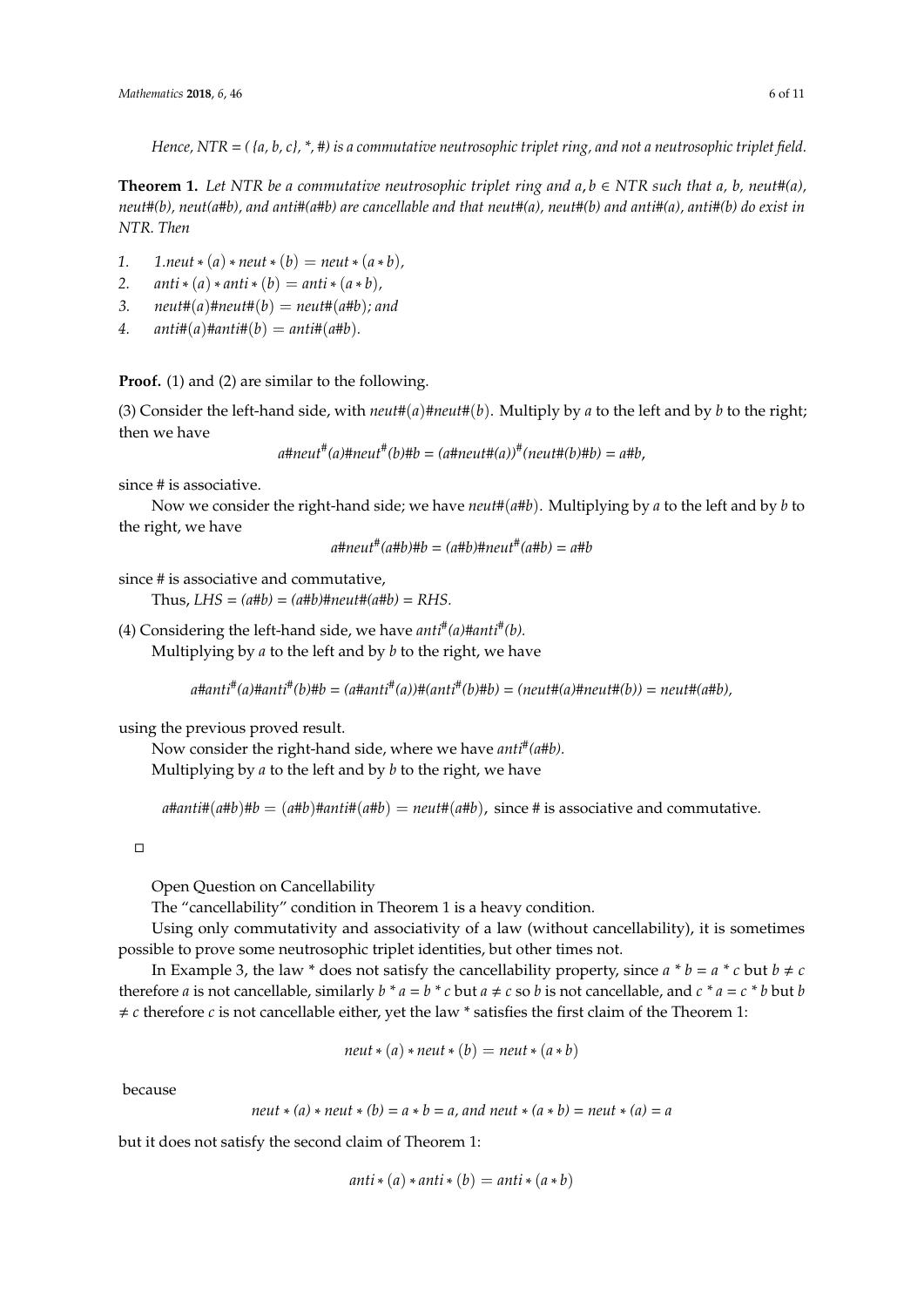*Hence, NTR* = *( {a, b, c}, \*, #) is a commutative neutrosophic triplet ring, and not a neutrosophic triplet field.*

**Theorem 1.** Let NTR be a commutative neutrosophic triplet ring and  $a, b \in NTR$  such that  $a, b$ , neut#(a), *neut#(b), neut(a#b), and anti#(a#b) are cancellable and that neut#(a), neut#(b) and anti#(a), anti#(b) do exist in NTR. Then*

- *1. 1.neut*  $*(a) * newt * (b) = neut * (a * b)$ ,
- 2. *anti*  $*(a) * anti * (b) = anti * (a * b)$ ,
- 3. *neut*# $(a)$ #*neut*# $(b)$  = *neut*# $(a$ #*b*)*;* and
- 4. *anti*# $(a)$ #*anti*# $(b) =$ *anti*# $(a$ #*b*).

**Proof.** (1) and (2) are similar to the following.

(3) Consider the left-hand side, with  $neut\#(a)\#neut\#(b)$ . Multiply by *a* to the left and by *b* to the right; then we have

*a#neut# (a)#neut# (b)#b* = *(a#neut#(a))# (neut#(b)#b)* = *a#b*,

since # is associative.

Now we consider the right-hand side; we have *neut*#(*a*#*b*). Multiplying by *a* to the left and by *b* to the right, we have

*a#neut# (a#b)#b* = *(a#b)#neut# (a#b)* = *a#b*

since # is associative and commutative,

Thus,  $LHS = (a \# b) = (a \# b) \# new \# (a \# b) = RHS$ .

(4) Considering the left-hand side, we have *anti# (a)#anti# (b).*

Multiplying by *a* to the left and by *b* to the right, we have

*a#anti# (a)#anti# (b)#b* = *(a#anti# (a))#(anti# (b)#b)* = *(neut#(a)#neut#(b))* = *neut#(a#b),*

using the previous proved result.

Now consider the right-hand side, where we have *anti# (a#b).* Multiplying by *a* to the left and by *b* to the right, we have

 $a$ #*anti*#( $a$ # $b$ )# $b = (a$ # $b)$ # $a$ *nti*#( $a$ # $b$ ) =  $neut$ #( $a$ # $b$ ), since # is associative and commutative.

 $\Box$ 

Open Question on Cancellability

The "cancellability" condition in Theorem 1 is a heavy condition.

Using only commutativity and associativity of a law (without cancellability), it is sometimes possible to prove some neutrosophic triplet identities, but other times not.

In Example 3, the law \* does not satisfy the cancellability property, since  $a * b = a * c$  but  $b \neq c$ therefore *a* is not cancellable, similarly  $b * a = b * c$  but  $a \neq c$  so *b* is not cancellable, and  $c * a = c * b$  but *b*  $\neq c$  therefore *c* is not cancellable either, yet the law  $*$  satisfies the first claim of the Theorem 1:

$$
neut * (a) * neut * (b) = neut * (a * b)
$$

because

*neut*  $*(a) * \text{neut} * (b) = a * b = a$ , and neut  $*(a * b) = \text{neut} * (a) = a$ 

but it does not satisfy the second claim of Theorem 1:

$$
anti*(a)*anti*(b) = anti*(a*b)
$$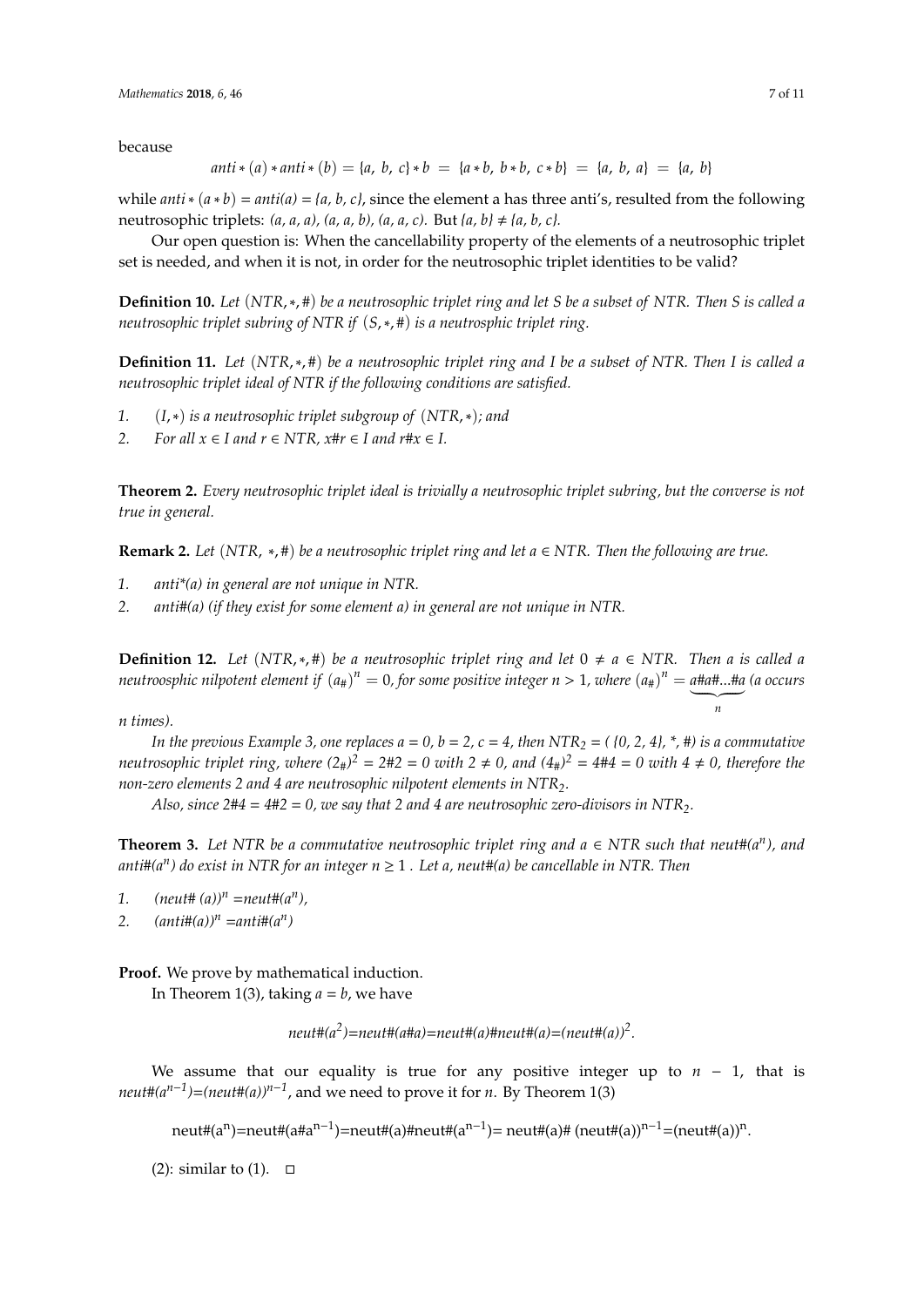because

$$
anti*(a)*anti*(b) = \{a, b, c\}*b = \{a*b, b*b, c*b\} = \{a, b, a\} = \{a, b\}
$$

while *anti*  $*(a * b) = anti(a) = {a, b, c}$ , since the element a has three anti's, resulted from the following neutrosophic triplets:  $(a, a, a)$ ,  $(a, a, b)$ ,  $(a, a, c)$ . But  $\{a, b\} \neq \{a, b, c\}$ .

Our open question is: When the cancellability property of the elements of a neutrosophic triplet set is needed, and when it is not, in order for the neutrosophic triplet identities to be valid?

**Definition 10.** *Let* (*NTR*,∗, #) *be a neutrosophic triplet ring and let S be a subset of NTR. Then S is called a neutrosophic triplet subring of NTR if* (*S*,∗, #) *is a neutrosphic triplet ring.*

**Definition 11.** *Let* (*NTR*,∗, #) *be a neutrosophic triplet ring and I be a subset of NTR. Then I is called a neutrosophic triplet ideal of NTR if the following conditions are satisfied.*

- *1.* (*I*,∗) *is a neutrosophic triplet subgroup of* (*NTR*,∗)*; and*
- *2. For all*  $x \in I$  *and*  $r \in NTR$ ,  $x \# r \in I$  *and*  $r \# x \in I$ .

**Theorem 2.** *Every neutrosophic triplet ideal is trivially a neutrosophic triplet subring, but the converse is not true in general.*

**Remark 2.** *Let* (*NTR*, ∗, #) *be a neutrosophic triplet ring and let a* ∈ *NTR. Then the following are true.*

- *1. anti\*(a) in general are not unique in NTR.*
- *2. anti#(a) (if they exist for some element a) in general are not unique in NTR.*

**Definition 12.** *Let* (*NTR*,\*,#) *be a neutrosophic triplet ring and let*  $0 \neq a \in NTR$ . *Then a is called a neutroosphic nilpotent element if*  $(a_{\#})^n=0$ *, for some positive integer*  $n>1$ *, where*  $(a_{\#})^n=a$ *#a#...#a (a occurs*  $\overline{a}$ 

*n times).*

*In the previous Example 3, one replaces*  $a = 0$ *,*  $b = 2$ *,*  $c = 4$ *, then NTR<sub>2</sub> =*  $($ *{0, 2, 4},*  $*$ *, #) is a commutative neutrosophic triplet ring, where*  $(2_{\#})^2 = 2 \# 2 = 0$  with  $2 \neq 0$ , and  $(4_{\#})^2 = 4 \# 4 = 0$  with  $4 \neq 0$ , therefore the *non-zero elements 2 and 4 are neutrosophic nilpotent elements in NTR2.*

*Also, since*  $2#4 = 4#2 = 0$ , we say that 2 and 4 are neutrosophic zero-divisors in NTR<sub>2</sub>.

**Theorem 3.** *Let NTR be a commutative neutrosophic triplet ring and a* ∈ *NTR such that neut#(a<sup>n</sup> ), and anti#(a<sup>n</sup> ) do exist in NTR for an integer n* ≥ 1 *. Let a, neut#(a) be cancellable in NTR. Then*

- 1.  $(newtt# (a))^n = newtt# (a^n),$
- 2.  $(anti\#(a))^n = anti\#(a^n)$

**Proof.** We prove by mathematical induction.

In Theorem 1(3), taking  $a = b$ , we have

*neut#(a<sup>2</sup> )*=*neut#(a#a)*=*neut#(a)#neut#(a)*=*(neut#(a))<sup>2</sup> .*

We assume that our equality is true for any positive integer up to  $n - 1$ , that is  $neut\#(a^{n-1}) = (neut\#(a))^{n-1}$ , and we need to prove it for *n*. By Theorem 1(3)

neut#(a<sup>n</sup>)=neut#(a#a<sup>n−1</sup>)=neut#(a)#neut#(a<sup>n−1</sup>)= neut#(a)# (neut#(a))<sup>n−1</sup>=(neut#(a))<sup>n</sup>.

(2): similar to (1).  $\square$ 

*n*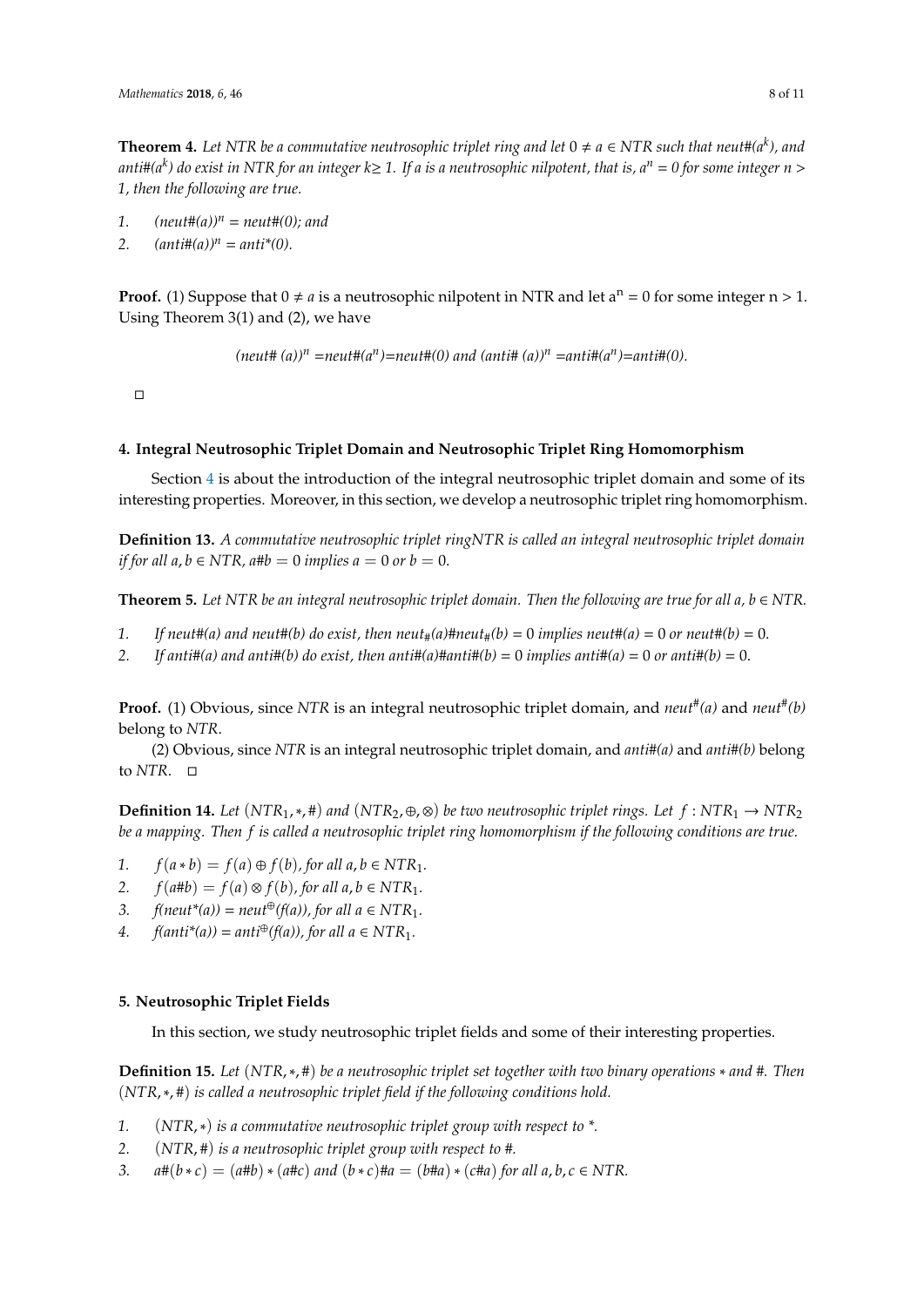**Theorem 4.** Let NTR be a commutative neutrosophic triplet ring and let  $0 \neq a \in NTR$  such that neut#(a<sup>k</sup>), and *anti#(a<sup>k</sup> ) do exist in NTR for an integer k*≥ *1. If a is a neutrosophic nilpotent, that is, a<sup>n</sup>* = *0 for some integer n* > *1, then the following are true.*

- 1.  $(newtt\#(a))^n = newtt\#(0);$  and
- 2.  $(anti\#(a))^n = anti^*(0)$ .

**Proof.** (1) Suppose that  $0 \neq a$  is a neutrosophic nilpotent in NTR and let  $a^n = 0$  for some integer  $n > 1$ . Using Theorem 3(1) and (2), we have

 $(\textit{neut\# } (a))^n = \textit{neut\#}(a^n) = \textit{neut\#}(0) \text{ and } (\textit{anti\# } (a))^n = \textit{anti\#}(a^n) = \textit{anti\#}(0).$ 

 $\Box$ 

#### <span id="page-7-0"></span>**4. Integral Neutrosophic Triplet Domain and Neutrosophic Triplet Ring Homomorphism**

Section [4](#page-7-0) is about the introduction of the integral neutrosophic triplet domain and some of its interesting properties. Moreover, in this section, we develop a neutrosophic triplet ring homomorphism.

**Definition 13.** *A commutative neutrosophic triplet ringNTR is called an integral neutrosophic triplet domain if for all a*,  $b \in NTR$ ,  $a \# b = 0$  *implies a* = 0 *or*  $b = 0$ .

**Theorem 5.** *Let NTR be an integral neutrosophic triplet domain. Then the following are true for all a, b* ∈ *NTR.*

- 1. If neut#(a) and neut#(b) do exist, then neut<sub>#</sub>(a)#neut<sub>#</sub>(b) = 0 *implies neut#(a)* = 0 *or neut#(b)* = 0.
- 2. *If anti*#(*a*) and anti#(*b*) do exist, then anti#(*a*)#anti#(*b*) = 0 *implies anti*#(*a*) = 0 *or anti*#(*b*) = 0.

**Proof.** (1) Obvious, since *NTR* is an integral neutrosophic triplet domain, and *neut# (a)* and *neut# (b)* belong to *NTR*.

(2) Obvious, since *NTR* is an integral neutrosophic triplet domain, and *anti#(a)* and *anti#(b)* belong to *NTR*.

**Definition 14.** Let  $(NTR_1, *, #)$  and  $(NTR_2, ⊕, ⊗)$  be two neutrosophic triplet rings. Let  $f : NTR_1 → NTR_2$ *be a mapping. Then f is called a neutrosophic triplet ring homomorphism if the following conditions are true.*

- *1.*  $f(a * b) = f(a) \oplus f(b)$ , for all  $a, b \in NTR_1$ .
- 2.  $f(a \# b) = f(a) \otimes f(b)$ , for all  $a, b \in NTR_1$ .
- 3. *f(neut\*(a))* = *neut<sup>⊕</sup>(f(a))*, *for all*  $a \in NTR_1$ .
- *4.*  $f(\text{anti}^*(a)) = \text{anti}^{\oplus}(f(a))$ , for all  $a \in NTR_1$ .

#### <span id="page-7-1"></span>**5. Neutrosophic Triplet Fields**

In this section, we study neutrosophic triplet fields and some of their interesting properties.

**Definition 15.** *Let* (*NTR*,∗, #) *be a neutrosophic triplet set together with two binary operations* ∗ *and #. Then* (*NTR*,∗, #) *is called a neutrosophic triplet field if the following conditions hold.*

- *1.* (*NTR*,∗) *is a commutative neutrosophic triplet group with respect to \*.*
- *2.* (*NTR*, #) *is a neutrosophic triplet group with respect to* #*.*
- *3.*  $a \# (b * c) = (a \# b) * (a \# c)$  *and*  $(b * c) \# a = (b \# a) * (c \# a)$  *for all a, b, c*  $\in NTR$ .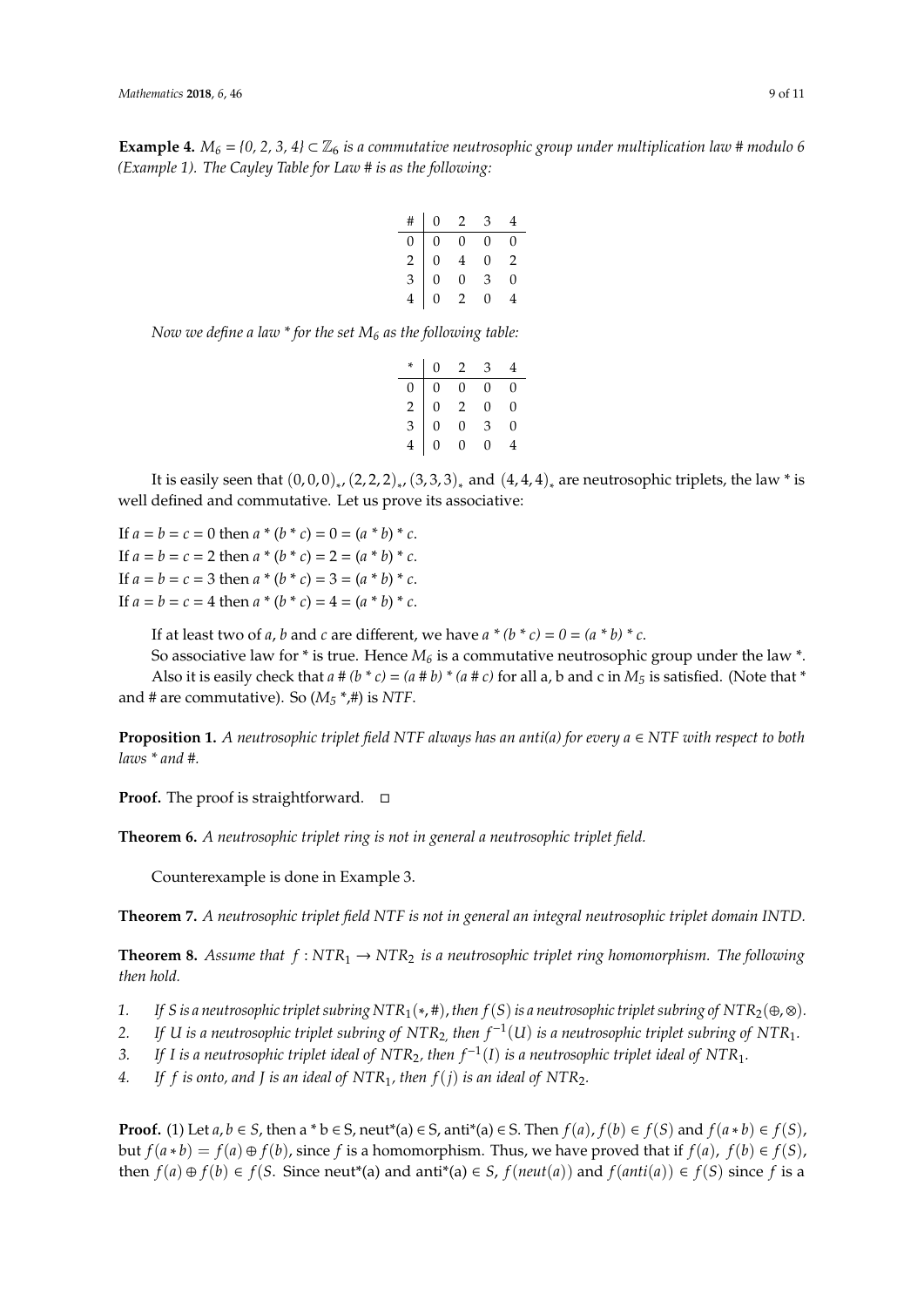**Example 4.** *M*<sub>6</sub> = {0, 2, 3, 4}  $\subset \mathbb{Z}_6$  *is a commutative neutrosophic group under multiplication law # modulo 6 (Example 1). The Cayley Table for Law # is as the following:*

| #              | $\overline{0}$ | $\overline{2}$ | 3        |   |
|----------------|----------------|----------------|----------|---|
| 0              | 0              | 0              | $\theta$ | 0 |
| $\overline{c}$ | $\overline{0}$ | 4              | 0        | 2 |
| $\overline{3}$ | $\overline{0}$ | 0              | З        | 0 |
|                |                |                | 0        |   |

*Now we define a law \* for the set M<sup>6</sup> as the following table:*

|               | $\overline{0}$ | $\overline{2}$      | 3            |   |
|---------------|----------------|---------------------|--------------|---|
| 0             | 0              | 0                   | $\theta$     | 0 |
| $\frac{2}{3}$ | $\overline{0}$ | $\overline{2}$      | $\theta$     | 0 |
|               | $\overline{0}$ | $\overline{0}$      | 3            | 0 |
|               | $\overline{0}$ | $\overline{a}$<br>0 | $\mathbf{0}$ |   |

It is easily seen that  $(0,0,0)_{*}$ ,  $(2,2,2)_{*}$ ,  $(3,3,3)_{*}$  and  $(4,4,4)_{*}$  are neutrosophic triplets, the law \* is well defined and commutative. Let us prove its associative:

If  $a = b = c = 0$  then  $a * (b * c) = 0 = (a * b) * c$ . If  $a = b = c = 2$  then  $a * (b * c) = 2 = (a * b) * c$ . If  $a = b = c = 3$  then  $a * (b * c) = 3 = (a * b) * c$ . If  $a = b = c = 4$  then  $a * (b * c) = 4 = (a * b) * c$ .

If at least two of *a*, *b* and *c* are different, we have  $a * (b * c) = 0 = (a * b) * c$ .

So associative law for \* is true. Hence *M<sup>6</sup>* is a commutative neutrosophic group under the law \*. Also it is easily check that  $a \neq (b * c) = (a \neq b) * (a \neq c)$  for all a, b and c in  $M_5$  is satisfied. (Note that \* and # are commutative). So  $(M_5 * ,#)$  is NTF.

**Proposition 1.** *A neutrosophic triplet field NTF always has an anti(a) for every a* ∈ *NTF with respect to both laws \* and #.*

**Proof.** The proof is straightforward. □

**Theorem 6.** *A neutrosophic triplet ring is not in general a neutrosophic triplet field.*

Counterexample is done in Example 3.

**Theorem 7.** *A neutrosophic triplet field NTF is not in general an integral neutrosophic triplet domain INTD.*

**Theorem 8.** Assume that  $f : NTR_1 \rightarrow NTR_2$  is a neutrosophic triplet ring homomorphism. The following *then hold.*

- *1. If S is a neutrosophic triplet subring NTR*<sub>1</sub>(\*, #), *then f*(*S*) *is a neutrosophic triplet subring of NTR*<sub>2</sub>(⊕,⊗).
- *2. If U is a neutrosophic triplet subring of NTR*2, *then f* <sup>−</sup><sup>1</sup> (*U*) *is a neutrosophic triplet subring of NTR*1*.*
- *3. If I is a neutrosophic triplet ideal of NTR*2*, then f* <sup>−</sup><sup>1</sup> (*I*) *is a neutrosophic triplet ideal of NTR*1*.*
- *4. If f is onto, and J is an ideal of NTR*1*, then f*(*j*) *is an ideal of NTR*2*.*

**Proof.** (1) Let  $a, b \in S$ , then a \*  $b \in S$ , neut\*(a)  $\in S$ , anti\*(a)  $\in S$ . Then  $f(a)$ ,  $f(b) \in f(S)$  and  $f(a * b) \in f(S)$ , but *f*( $a * b$ ) = *f*( $a$ ) ⊕ *f*( $b$ ), since *f* is a homomorphism. Thus, we have proved that if *f*( $a$ ), *f*( $b$ ) ∈ *f*(*S*), then  $f(a) ⊕ f(b) ∈ f(S. Since neutr(a) and anti<sup>*</sup>(a) ∈ S, f(neut(a)) and f(anti(a)) ∈ f(S) since f is a$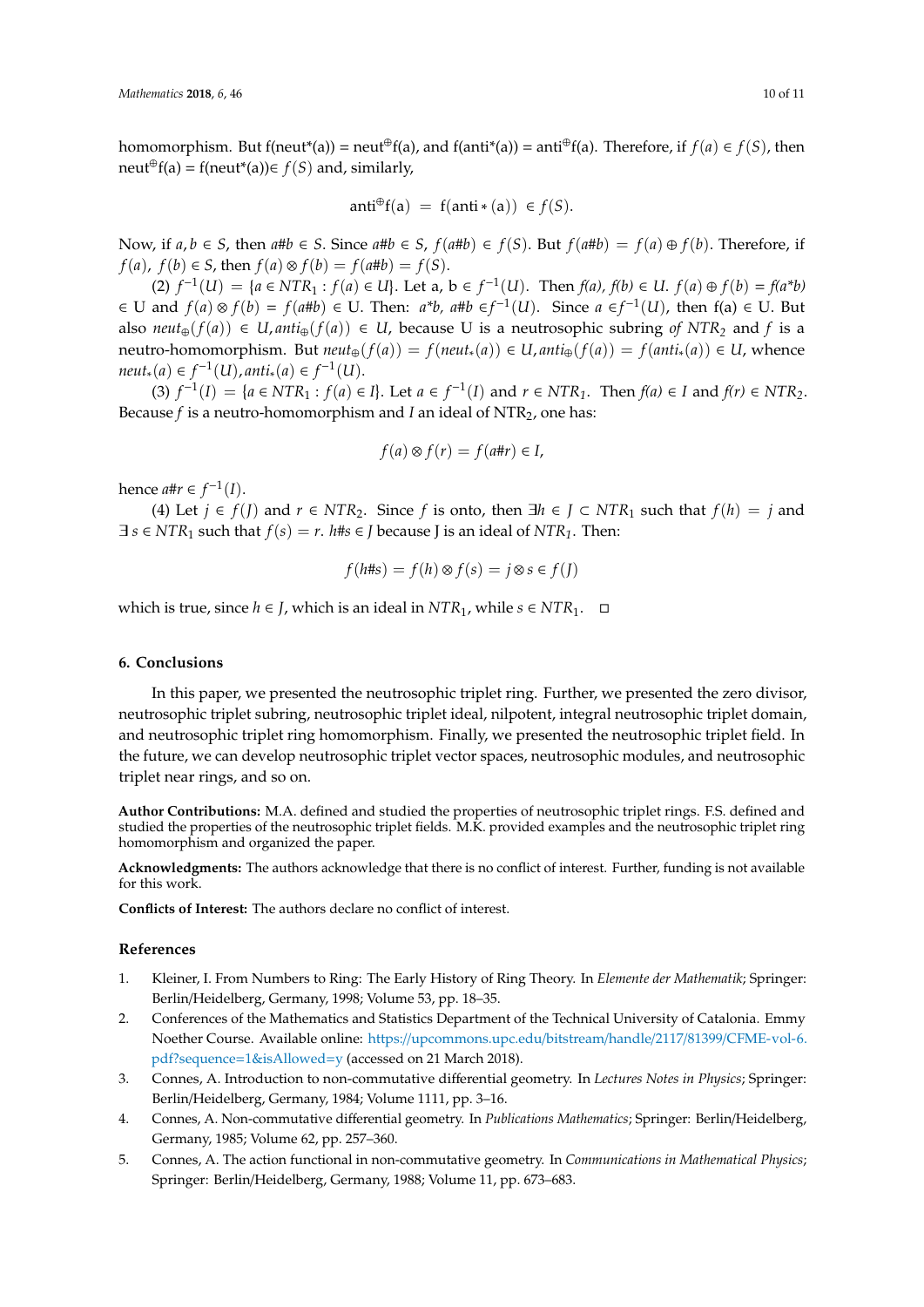homomorphism. But f(neut<sup>\*</sup>(a)) = neut⊕f(a), and f(anti<sup>\*</sup>(a)) = anti⊕f(a). Therefore, if  $f(a) \in f(S)$ , then neut<sup>⊕</sup>f(a) = f(neut<sup>\*</sup>(a))∈ *f*(*S*) and, similarly,

$$
anti^{\oplus}f(a) = f(anti*(a)) \in f(S).
$$

Now, if  $a, b \in S$ , then  $a \# b \in S$ . Since  $a \# b \in S$ ,  $f(a \# b) \in f(S)$ . But  $f(a \# b) = f(a) \oplus f(b)$ . Therefore, if *f*(*a*), *f*(*b*) ∈ *S*, then *f*(*a*) ⊗ *f*(*b*) = *f*(*a*#*b*) = *f*(*S*).

(2)  $f^{-1}(U) = {a \in NTR_1 : f(a) \in U}$ . Let a, b ∈  $f^{-1}(U)$ . Then  $f(a)$ ,  $f(b) \in U$ .  $f(a) \oplus f(b) = f(a^*b)$ ∈ U and  $f(a) \otimes f(b) = f(a \# b)$  ∈ U. Then:  $a^*b$ ,  $a \# b \in f^{-1}(U)$ . Since  $a \in f^{-1}(U)$ , then  $f(a) \in U$ . But also *neut*<sub>⊕</sub>( $f(a)$ ) ∈ *U*, *anti*<sub>⊕</sub>( $f(a)$ ) ∈ *U*, because U is a neutrosophic subring *of NTR*<sub>2</sub> and *f* is a neutro-homomorphism. But  $neut_{\oplus}(f(a)) = f(neut_{*}(a)) \in U,$  anti<sub> $\oplus$ </sub>( $f(a)) = f(anti_{*}(a)) \in U$ , whence  $neut_*(a) \in f^{-1}(U)$ ,  $anti_*(a) \in f^{-1}(U)$ .

(3)  $f^{-1}(I) = \{a \in NTR_1 : f(a) \in I\}$ . Let  $a \in f^{-1}(I)$  and  $r \in NTR_1$ . Then  $f(a) \in I$  and  $f(r) \in NTR_2$ . Because *f* is a neutro-homomorphism and *I* an ideal of NTR<sub>2</sub>, one has:

$$
f(a) \otimes f(r) = f(a \# r) \in I,
$$

hence *a*#*r* ∈  $f^{-1}(I)$ .

(4) Let *j* ∈ *f*(*J*) and *r* ∈ *NTR*2. Since *f* is onto, then ∃*h* ∈ *J* ⊂ *NTR*<sup>1</sup> such that *f*(*h*) = *j* and  $\exists s \in NTR_1$  such that  $f(s) = r$ . *h*# $s \in J$  because *J* is an ideal of  $NTR_1$ . Then:

$$
f(h\#s) = f(h) \otimes f(s) = j \otimes s \in f(J)
$$

which is true, since  $h \in J$ , which is an ideal in  $NTR_1$ , while  $s \in NTR_1$ . □

#### <span id="page-9-4"></span>**6. Conclusions**

In this paper, we presented the neutrosophic triplet ring. Further, we presented the zero divisor, neutrosophic triplet subring, neutrosophic triplet ideal, nilpotent, integral neutrosophic triplet domain, and neutrosophic triplet ring homomorphism. Finally, we presented the neutrosophic triplet field. In the future, we can develop neutrosophic triplet vector spaces, neutrosophic modules, and neutrosophic triplet near rings, and so on.

**Author Contributions:** M.A. defined and studied the properties of neutrosophic triplet rings. F.S. defined and studied the properties of the neutrosophic triplet fields. M.K. provided examples and the neutrosophic triplet ring homomorphism and organized the paper.

**Acknowledgments:** The authors acknowledge that there is no conflict of interest. Further, funding is not available for this work.

**Conflicts of Interest:** The authors declare no conflict of interest.

#### **References**

- <span id="page-9-0"></span>1. Kleiner, I. From Numbers to Ring: The Early History of Ring Theory. In *Elemente der Mathematik*; Springer: Berlin/Heidelberg, Germany, 1998; Volume 53, pp. 18–35.
- <span id="page-9-1"></span>2. Conferences of the Mathematics and Statistics Department of the Technical University of Catalonia. Emmy Noether Course. Available online: https://[upcommons.upc.edu](https://upcommons.upc.edu/bitstream/handle/2117/81399/CFME-vol-6.pdf?sequence=1&isAllowed=y)/bitstream/handle/2117/81399/CFME-vol-6. [pdf?sequence](https://upcommons.upc.edu/bitstream/handle/2117/81399/CFME-vol-6.pdf?sequence=1&isAllowed=y)=1&isAllowed=y (accessed on 21 March 2018).
- <span id="page-9-2"></span>3. Connes, A. Introduction to non-commutative differential geometry. In *Lectures Notes in Physics*; Springer: Berlin/Heidelberg, Germany, 1984; Volume 1111, pp. 3–16.
- 4. Connes, A. Non-commutative differential geometry. In *Publications Mathematics*; Springer: Berlin/Heidelberg, Germany, 1985; Volume 62, pp. 257–360.
- <span id="page-9-3"></span>5. Connes, A. The action functional in non-commutative geometry. In *Communications in Mathematical Physics*; Springer: Berlin/Heidelberg, Germany, 1988; Volume 11, pp. 673–683.